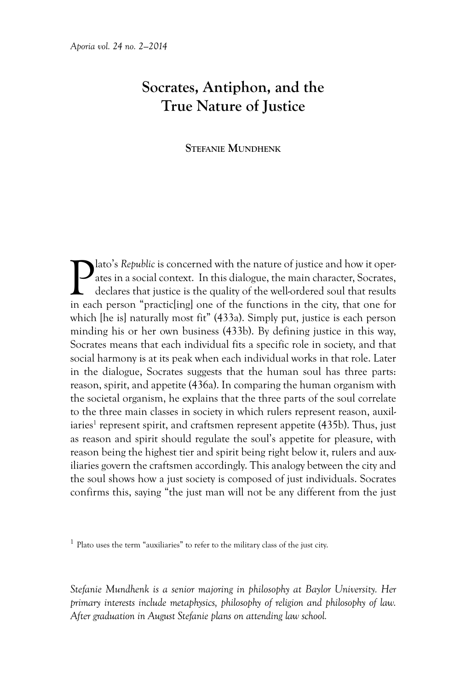## **Socrates, Antiphon, and the True Nature of Justice**

## **Stefanie Mundhenk**

**Pl**ato's *Republic* is concerned with the nature of justice and how it operates in a social context. In this dialogue, the main character, Socrates, declares that justice is the quality of the well-ordered soul that resul ates in a social context. In this dialogue, the main character, Socrates, declares that justice is the quality of the well-ordered soul that results in each person "practic[ing] one of the functions in the city, that one for which [he is] naturally most fit" (433a). Simply put, justice is each person minding his or her own business (433b). By defining justice in this way, Socrates means that each individual fits a specific role in society, and that social harmony is at its peak when each individual works in that role. Later in the dialogue, Socrates suggests that the human soul has three parts: reason, spirit, and appetite (436a). In comparing the human organism with the societal organism, he explains that the three parts of the soul correlate to the three main classes in society in which rulers represent reason, auxiliaries<sup>1</sup> represent spirit, and craftsmen represent appetite (435b). Thus, just as reason and spirit should regulate the soul's appetite for pleasure, with reason being the highest tier and spirit being right below it, rulers and auxiliaries govern the craftsmen accordingly. This analogy between the city and the soul shows how a just society is composed of just individuals. Socrates confirms this, saying "the just man will not be any different from the just

 $1$  Plato uses the term "auxiliaries" to refer to the military class of the just city.

*Stefanie Mundhenk is a senior majoring in philosophy at Baylor University. Her primary interests include metaphysics, philosophy of religion and philosophy of law. After graduation in August Stefanie plans on attending law school.*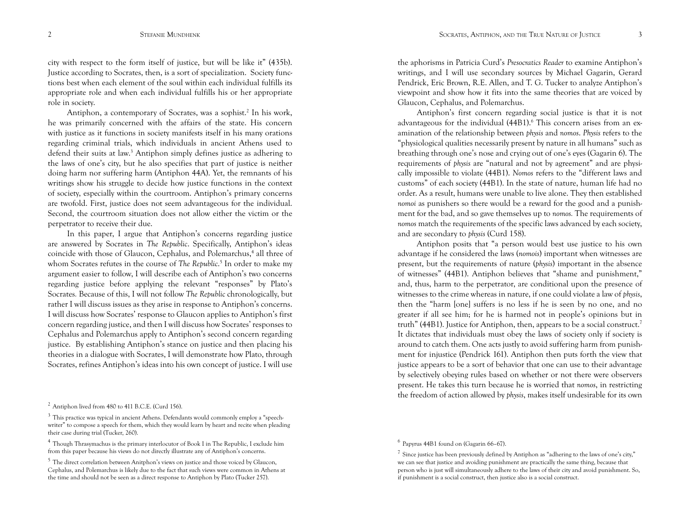city with respect to the form itself of justice, but will be like it" (435b). Justice according to Socrates, then, is a sort of specialization. Society functions best when each element of the soul within each individual fulfills its appropriate role and when each individual fulfills his or her appropriate role in society.

Antiphon, a contemporary of Socrates, was a sophist.<sup>2</sup> In his work, he was primarily concerned with the affairs of the state. His concern with justice as it functions in society manifests itself in his many orations regarding criminal trials, which individuals in ancient Athens used to defend their suits at law.<sup>3</sup> Antiphon simply defines justice as adhering to the laws of one's city, but he also specifies that part of justice is neither doing harm nor suffering harm (Antiphon 44A). Yet, the remnants of his writings show his struggle to decide how justice functions in the context of society, especially within the courtroom. Antiphon's primary concerns are twofold. First, justice does not seem advantageous for the individual. Second, the courtroom situation does not allow either the victim or the perpetrator to receive their due.

In this paper, I argue that Antiphon's concerns regarding justice are answered by Socrates in *The Republic*. Specifically, Antiphon's ideas coincide with those of Glaucon, Cephalus, and Polemarchus,<sup>4</sup> all three of whom Socrates refutes in the course of *The Republic*. <sup>5</sup> In order to make my argument easier to follow, I will describe each of Antiphon's two concerns regarding justice before applying the relevant "responses" by Plato's Socrates*.* Because of this, I will not follow *The Republic* chronologically, but rather I will discuss issues as they arise in response to Antiphon's concerns. I will discuss how Socrates' response to Glaucon applies to Antiphon's first concern regarding justice, and then I will discuss how Socrates' responses to Cephalus and Polemarchus apply to Antiphon's second concern regarding justice. By establishing Antiphon's stance on justice and then placing his theories in a dialogue with Socrates, I will demonstrate how Plato, through Socrates, refines Antiphon's ideas into his own concept of justice. I will use

the aphorisms in Patricia Curd's *Presocratics Reader* to examine Antiphon's writings, and I will use secondary sources by Michael Gagarin, Gerard Pendrick, Eric Brown, R.E. Allen, and T. G. Tucker to analyze Antiphon's viewpoint and show how it fits into the same theories that are voiced by Glaucon, Cephalus, and Polemarchus.

Antiphon's first concern regarding social justice is that it is not advantageous for the individual (44B1).<sup>6</sup> This concern arises from an examination of the relationship between *physis* and *nomos*. *Physis* refers to the "physiological qualities necessarily present by nature in all humans" such as breathing through one's nose and crying out of one's eyes (Gagarin 6). The requirements of *physis* are "natural and not by agreement" and are physically impossible to violate (44B1). *Nomos* refers to the "different laws and customs" of each society (44B1). In the state of nature, human life had no order. As a result, humans were unable to live alone. They then established *nomoi* as punishers so there would be a reward for the good and a punishment for the bad, and so gave themselves up to *nomos.* The requirements of *nomos* match the requirements of the specific laws advanced by each society, and are secondary to *physis* (Curd 158).

Antiphon posits that "a person would best use justice to his own advantage if he considered the laws (*nomois*) important when witnesses are present, but the requirements of nature (*physis*) important in the absence of witnesses" (44B1). Antiphon believes that "shame and punishment," and, thus, harm to the perpetrator, are conditional upon the presence of witnesses to the crime whereas in nature, if one could violate a law of *physis*, then the "harm [one] suffers is no less if he is seen by no one, and no greater if all see him; for he is harmed not in people's opinions but in truth" (44B1). Justice for Antiphon, then, appears to be a social construct.7 It dictates that individuals must obey the laws of society only if society is around to catch them. One acts justly to avoid suffering harm from punishment for injustice (Pendrick 161). Antiphon then puts forth the view that justice appears to be a sort of behavior that one can use to their advantage by selectively obeying rules based on whether or not there were observers present. He takes this turn because he is worried that *nomos*, in restricting the freedom of action allowed by *physis*, makes itself undesirable for its own

 $2$  Antiphon lived from 480 to 411 B.C.E. (Curd 156).

<sup>3</sup> This practice was typical in ancient Athens. Defendants would commonly employ a "speechwriter" to compose a speech for them, which they would learn by heart and recite when pleading their case during trial (Tucker, 260).

<sup>4</sup> Though Thrasymachus is the primary interlocutor of Book I in The Republic, I exclude him from this paper because his views do not directly illustrate any of Antiphon's concerns.

<sup>5</sup> The direct correlation between Anitphon's views on justice and those voiced by Glaucon, Cephalus, and Polemarchus is likely due to the fact that such views were common in Athens at the time and should not be seen as a direct response to Antiphon by Plato (Tucker 257).

<sup>6</sup> Papyrus 44B1 found on (Gagarin 66–67).

 $7$  Since justice has been previously defined by Antiphon as "adhering to the laws of one's city," we can see that justice and avoiding punishment are practically the same thing, because that person who is just will simultaneously adhere to the laws of their city and avoid punishment. So, if punishment is a social construct, then justice also is a social construct.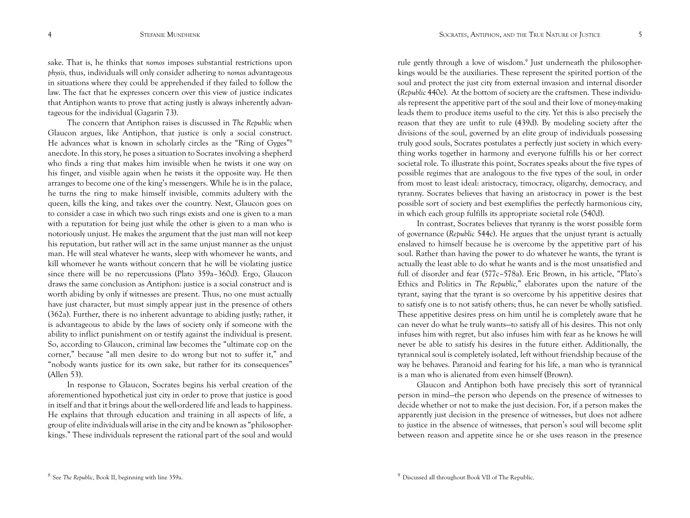sake. That is, he thinks that *nomos* imposes substantial restrictions upon *physis,* thus, individuals will only consider adhering to *nomos* advantageous in situations where they could be apprehended if they failed to follow the law. The fact that he expresses concern over this view of justice indicates that Antiphon wants to prove that acting justly is always inherently advantageous for the individual (Gagarin 73).

The concern that Antiphon raises is discussed in *The Republic* when Glaucon argues, like Antiphon, that justice is only a social construct. He advances what is known in scholarly circles as the "Ring of Gyges"8 anecdote. In this story, he poses a situation to Socrates involving a shepherd who finds a ring that makes him invisible when he twists it one way on his finger, and visible again when he twists it the opposite way. He then arranges to become one of the king's messengers. While he is in the palace, he turns the ring to make himself invisible, commits adultery with the queen, kills the king, and takes over the country. Next, Glaucon goes on to consider a case in which two such rings exists and one is given to a man with a reputation for being just while the other is given to a man who is notoriously unjust. He makes the argument that the just man will not keep his reputation, but rather will act in the same unjust manner as the unjust man. He will steal whatever he wants, sleep with whomever he wants, and kill whomever he wants without concern that he will be violating justice since there will be no repercussions (Plato 359a–360d). Ergo, Glaucon draws the same conclusion as Antiphon: justice is a social construct and is worth abiding by only if witnesses are present. Thus, no one must actually have just character, but must simply appear just in the presence of others (362a). Further, there is no inherent advantage to abiding justly; rather, it is advantageous to abide by the laws of society only if someone with the ability to inflict punishment on or testify against the individual is present. So, according to Glaucon, criminal law becomes the "ultimate cop on the corner," because "all men desire to do wrong but not to suffer it," and "nobody wants justice for its own sake, but rather for its consequences" (Allen 53).

In response to Glaucon, Socrates begins his verbal creation of the aforementioned hypothetical just city in order to prove that justice is good in itself and that it brings about the well-ordered life and leads to happiness. He explains that through education and training in all aspects of life, a group of elite individuals will arise in the city and be known as "philosopherkings." These individuals represent the rational part of the soul and would

rule gently through a love of wisdom.9 Just underneath the philosopherkings would be the auxiliaries. These represent the spirited portion of the soul and protect the just city from external invasion and internal disorder (*Republic* 440e). At the bottom of society are the craftsmen. These individuals represent the appetitive part of the soul and their love of money-making leads them to produce items useful to the city. Yet this is also precisely the reason that they are unfit to rule (439d). By modeling society after the divisions of the soul, governed by an elite group of individuals possessing truly good souls, Socrates postulates a perfectly just society in which everything works together in harmony and everyone fulfills his or her correct societal role. To illustrate this point, Socrates speaks about the five types of possible regimes that are analogous to the five types of the soul, in order from most to least ideal: aristocracy, timocracy, oligarchy, democracy, and tyranny. Socrates believes that having an aristocracy in power is the best possible sort of society and best exemplifies the perfectly harmonious city, in which each group fulfills its appropriate societal role (540d).

In contrast, Socrates believes that tyranny is the worst possible form of governance (*Republic* 544c). He argues that the unjust tyrant is actually enslaved to himself because he is overcome by the appetitive part of his soul. Rather than having the power to do whatever he wants, the tyrant is actually the least able to do what he wants and is the most unsatisfied and full of disorder and fear (577c–578a). Eric Brown, in his article, "Plato's Ethics and Politics in *The Republic,*" elaborates upon the nature of the tyrant, saying that the tyrant is so overcome by his appetitive desires that to satisfy one is to not satisfy others; thus, he can never be wholly satisfied. These appetitive desires press on him until he is completely aware that he can never do what he truly wants—to satisfy all of his desires. This not only infuses him with regret, but also infuses him with fear as he knows he will never be able to satisfy his desires in the future either. Additionally, the tyrannical soul is completely isolated, left without friendship because of the way he behaves. Paranoid and fearing for his life, a man who is tyrannical is a man who is alienated from even himself (Brown).

Glaucon and Antiphon both have precisely this sort of tyrannical person in mind—the person who depends on the presence of witnesses to decide whether or not to make the just decision. For, if a person makes the apparently just decision in the presence of witnesses, but does not adhere to justice in the absence of witnesses, that person's soul will become split between reason and appetite since he or she uses reason in the presence

<sup>4</sup> STEFANIE MUNDHENK SOCRATES, ANTIPHON, AND THE TRUE NATURE OF JUSTICE 5

<sup>8</sup> See *The Republic*, Book II, beginning with line 359a.

<sup>&</sup>lt;sup>9</sup> Discussed all throughout Book VII of The Republic.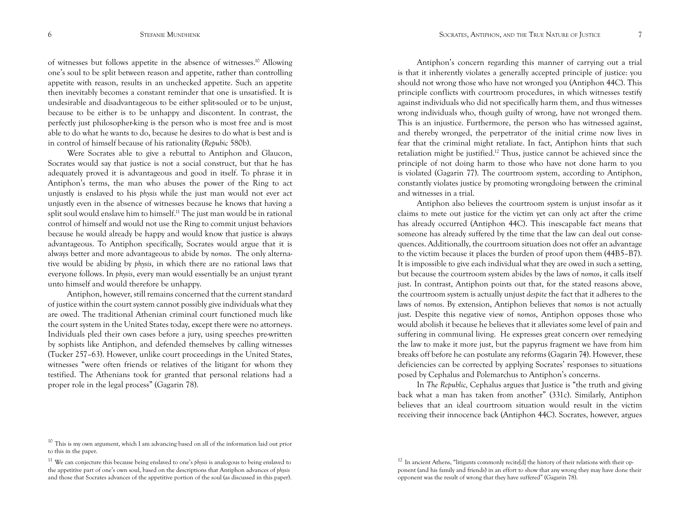of witnesses but follows appetite in the absence of witnesses.10 Allowing one's soul to be split between reason and appetite, rather than controlling appetite with reason, results in an unchecked appetite. Such an appetite then inevitably becomes a constant reminder that one is unsatisfied. It is undesirable and disadvantageous to be either split-souled or to be unjust, because to be either is to be unhappy and discontent. In contrast, the perfectly just philosopher-king is the person who is most free and is most able to do what he wants to do, because he desires to do what is best and is in control of himself because of his rationality (*Repubic* 580b).

Were Socrates able to give a rebuttal to Antiphon and Glaucon, Socrates would say that justice is not a social construct, but that he has adequately proved it is advantageous and good in itself. To phrase it in Antiphon's terms, the man who abuses the power of the Ring to act unjustly is enslaved to his *physis* while the just man would not ever act unjustly even in the absence of witnesses because he knows that having a split soul would enslave him to himself.11 The just man would be in rational control of himself and would not use the Ring to commit unjust behaviors because he would already be happy and would know that justice is always advantageous. To Antiphon specifically, Socrates would argue that it is always better and more advantageous to abide by *nomos*. The only alternative would be abiding by *physis*, in which there are no rational laws that everyone follows. In *physis*, every man would essentially be an unjust tyrant unto himself and would therefore be unhappy.

Antiphon, however, still remains concerned that the current standard of justice within the court system cannot possibly give individuals what they are owed. The traditional Athenian criminal court functioned much like the court system in the United States today, except there were no attorneys. Individuals pled their own cases before a jury, using speeches pre-written by sophists like Antiphon, and defended themselves by calling witnesses (Tucker 257–63). However, unlike court proceedings in the United States, witnesses "were often friends or relatives of the litigant for whom they testified. The Athenians took for granted that personal relations had a proper role in the legal process" (Gagarin 78).

Antiphon's concern regarding this manner of carrying out a trial is that it inherently violates a generally accepted principle of justice: you should not wrong those who have not wronged you (Antiphon 44C). This principle conflicts with courtroom procedures, in which witnesses testify against individuals who did not specifically harm them, and thus witnesses wrong individuals who, though guilty of wrong, have not wronged them. This is an injustice. Furthermore, the person who has witnessed against, and thereby wronged, the perpetrator of the initial crime now lives in fear that the criminal might retaliate. In fact, Antiphon hints that such retaliation might be justified.<sup>12</sup> Thus, justice cannot be achieved since the principle of not doing harm to those who have not done harm to you is violated (Gagarin 77). The courtroom system, according to Antiphon, constantly violates justice by promoting wrongdoing between the criminal and witnesses in a trial.

Antiphon also believes the courtroom system is unjust insofar as it claims to mete out justice for the victim yet can only act after the crime has already occurred (Antiphon 44C). This inescapable fact means that someone has already suffered by the time that the law can deal out consequences. Additionally, the courtroom situation does not offer an advantage to the victim because it places the burden of proof upon them (44B5–B7). It is impossible to give each individual what they are owed in such a setting, but because the courtroom system abides by the laws of *nomos*, it calls itself just. In contrast, Antiphon points out that, for the stated reasons above, the courtroom system is actually unjust *despite* the fact that it adheres to the laws of *nomos*. By extension, Antiphon believes that *nomos* is not actually just. Despite this negative view of *nomos*, Antiphon opposes those who would abolish it because he believes that it alleviates some level of pain and suffering in communal living. He expresses great concern over remedying the law to make it more just, but the papyrus fragment we have from him breaks off before he can postulate any reforms (Gagarin 74). However, these deficiencies can be corrected by applying Socrates' responses to situations posed by Cephalus and Polemarchus to Antiphon's concerns.

In *The Republic,* Cephalus argues that Justice is "the truth and giving back what a man has taken from another" (331c). Similarly, Antiphon believes that an ideal courtroom situation would result in the victim receiving their innocence back (Antiphon 44C). Socrates, however, argues

<sup>&</sup>lt;sup>10</sup> This is my own argument, which I am advancing based on all of the information laid out prior to this in the paper.

<sup>11</sup> We can conjecture this because being enslaved to one's *physis* is analogous to being enslaved to the appetitive part of one's own soul, based on the descriptions that Antiphon advances of *physis* and those that Socrates advances of the appetitive portion of the soul (as discussed in this paper).

 $12$  In ancient Athens, "litigants commonly recite[d] the history of their relations with their opponent (and his family and friends) in an effort to show that any wrong they may have done their opponent was the result of wrong that they have suffered" (Gagarin 78).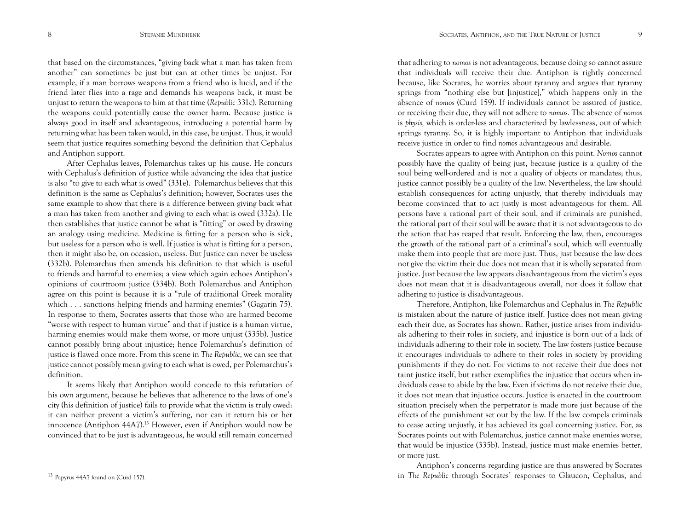that based on the circumstances, "giving back what a man has taken from another" can sometimes be just but can at other times be unjust. For example, if a man borrows weapons from a friend who is lucid, and if the friend later flies into a rage and demands his weapons back, it must be unjust to return the weapons to him at that time (*Republic* 331c). Returning the weapons could potentially cause the owner harm. Because justice is always good in itself and advantageous, introducing a potential harm by returning what has been taken would, in this case, be unjust. Thus, it would seem that justice requires something beyond the definition that Cephalus and Antiphon support.

After Cephalus leaves, Polemarchus takes up his cause. He concurs with Cephalus's definition of justice while advancing the idea that justice is also "to give to each what is owed" (331e). Polemarchus believes that this definition is the same as Cephalus's definition; however, Socrates uses the same example to show that there is a difference between giving back what a man has taken from another and giving to each what is owed (332a). He then establishes that justice cannot be what is "fitting" or owed by drawing an analogy using medicine. Medicine is fitting for a person who is sick, but useless for a person who is well. If justice is what is fitting for a person, then it might also be, on occasion, useless. But Justice can never be useless (332b). Polemarchus then amends his definition to that which is useful to friends and harmful to enemies; a view which again echoes Antiphon's opinions of courtroom justice (334b). Both Polemarchus and Antiphon agree on this point is because it is a "rule of traditional Greek morality which . . . sanctions helping friends and harming enemies" (Gagarin 75). In response to them, Socrates asserts that those who are harmed become "worse with respect to human virtue" and that if justice is a human virtue, harming enemies would make them worse, or more unjust (335b). Justice cannot possibly bring about injustice; hence Polemarchus's definition of justice is flawed once more. From this scene in *The Republic*, we can see that justice cannot possibly mean giving to each what is owed, per Polemarchus's definition.

It seems likely that Antiphon would concede to this refutation of his own argument, because he believes that adherence to the laws of one's city (his definition of justice) fails to provide what the victim is truly owed: it can neither prevent a victim's suffering, nor can it return his or her innocence (Antiphon 44A7).<sup>13</sup> However, even if Antiphon would now be convinced that to be just is advantageous, he would still remain concerned

that adhering to *nomos* is not advantageous, because doing so cannot assure that individuals will receive their due. Antiphon is rightly concerned because, like Socrates, he worries about tyranny and argues that tyranny springs from "nothing else but [injustice]," which happens only in the absence of *nomos* (Curd 159). If individuals cannot be assured of justice, or receiving their due, they will not adhere to *nomos.* The absence of *nomos*  is *physis,* which is order-less and characterized by lawlessness, out of which springs tyranny. So, it is highly important to Antiphon that individuals receive justice in order to find *nomos* advantageous and desirable.

Socrates appears to agree with Antiphon on this point. *Nomos* cannot possibly have the quality of being just, because justice is a quality of the soul being well-ordered and is not a quality of objects or mandates; thus, justice cannot possibly be a quality of the law. Nevertheless, the law should establish consequences for acting unjustly, that thereby individuals may become convinced that to act justly is most advantageous for them. All persons have a rational part of their soul, and if criminals are punished, the rational part of their soul will be aware that it is not advantageous to do the action that has reaped that result. Enforcing the law, then, encourages the growth of the rational part of a criminal's soul, which will eventually make them into people that are more just. Thus, just because the law does not give the victim their due does not mean that it is wholly separated from justice. Just because the law appears disadvantageous from the victim's eyes does not mean that it is disadvantageous overall, nor does it follow that adhering to justice is disadvantageous.

Therefore, Antiphon, like Polemarchus and Cephalus in *The Republic*  is mistaken about the nature of justice itself. Justice does not mean giving each their due, as Socrates has shown. Rather, justice arises from individuals adhering to their roles in society, and injustice is born out of a lack of individuals adhering to their role in society. The law fosters justice because it encourages individuals to adhere to their roles in society by providing punishments if they do not. For victims to not receive their due does not taint justice itself, but rather exemplifies the injustice that occurs when individuals cease to abide by the law. Even if victims do not receive their due, it does not mean that injustice occurs. Justice is enacted in the courtroom situation precisely when the perpetrator is made more just because of the effects of the punishment set out by the law. If the law compels criminals to cease acting unjustly, it has achieved its goal concerning justice. For, as Socrates points out with Polemarchus, justice cannot make enemies worse; that would be injustice (335b). Instead, justice must make enemies better, or more just.

Antiphon's concerns regarding justice are thus answered by Socrates in *The Republic* through Socrates' responses to Glaucon, Cephalus, and

<sup>13</sup> Papyrus 44A7 found on (Curd 157).